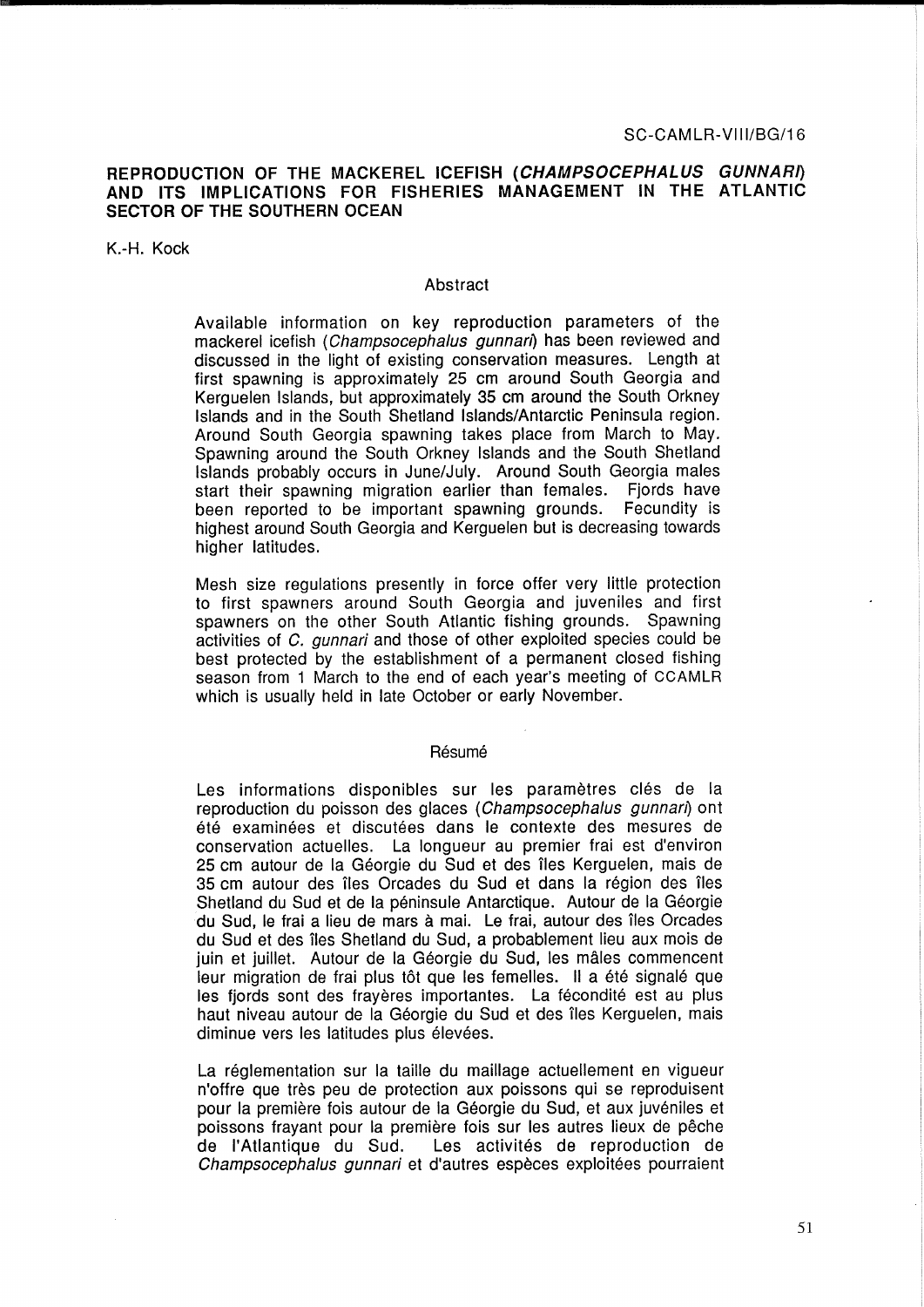# **REPRODUCTION OF THE MACKEREL ICEFISH (CHAMPSOCEPHALUS GUNNARI) AND ITS IMPLICATIONS FOR FISHERIES MANAGEMENT IN THE ATLANTIC SECTOR OF THE SOUTHERN OCEAN**

K.-H. Kock

## Abstract

Available information on key reproduction parameters of the mackerel icefish (Champsocephalus gunnari) has been reviewed and discussed in the light of existing conservation measures. Length at first spawning is approximately 25 cm around South Georgia and Kerguelen Islands, but approximately 35 cm around the South Orkney Islands and in the South Shetland Islands/Antarctic Peninsula region. Around South Georgia spawning takes place from March to May. Spawning around the South Orkney Islands and the South Shetland Islands probably occurs in June/July. Around South Georgia males start their spawning migration earlier than females. Fjords have been reported to be important spawning grounds. Fecundity is highest around South Georgia and Kerguelen but is decreasing towards higher latitudes.

Mesh size regulations presently in force offer very little protection to first spawners around South Georgia and juveniles and first spawners on the other South Atlantic fishing grounds. Spawning activities of C. gunnari and those of other exploited species could be best protected by the establishment of a permanent closed fishing season from 1 March to the end of each year's meeting of CCAMLR which is usually held in late October or early November.

#### Résumé

Les informations disponibles sur les paramètres clés de la reproduction du poisson des glaces (Champsocephalus gunnan) ont ete examinees et discutees dans le contexte des mesures de conservation actuelles. La longueur au premier frai est d'environ 25 cm autour de la Georgie du Sud et des iles Kerguelen, mais de 35 cm autour des îles Orcades du Sud et dans la région des îles Shetland du Sud et de la péninsule Antarctique. Autour de la Géorgie du Sud, le frai a lieu de mars à mai. Le frai, autour des îles Orcades du Sud et des iles Shetland du Sud, a probablement lieu aux mois de juin et juillet. Autour de la Géorgie du Sud, les mâles commencent leur migration de frai plus tôt que les femelles. Il a été signalé que les fjords sont des frayères importantes. La fécondité est au plus haut niveau autour de la Géorgie du Sud et des îles Kerguelen, mais diminue vers les latitudes plus élevées.

La réglementation sur la taille du maillage actuellement en vigueur n'offre que tres peu de protection aux poissons qui se reproduisent pour la première fois autour de la Géorgie du Sud, et aux juvéniles et poissons frayant pour la première fois sur les autres lieux de pêche de l'Atlantique du Sud. Les activites de reproduction de Champsocephalus gunnari et d'autres espèces exploitées pourraient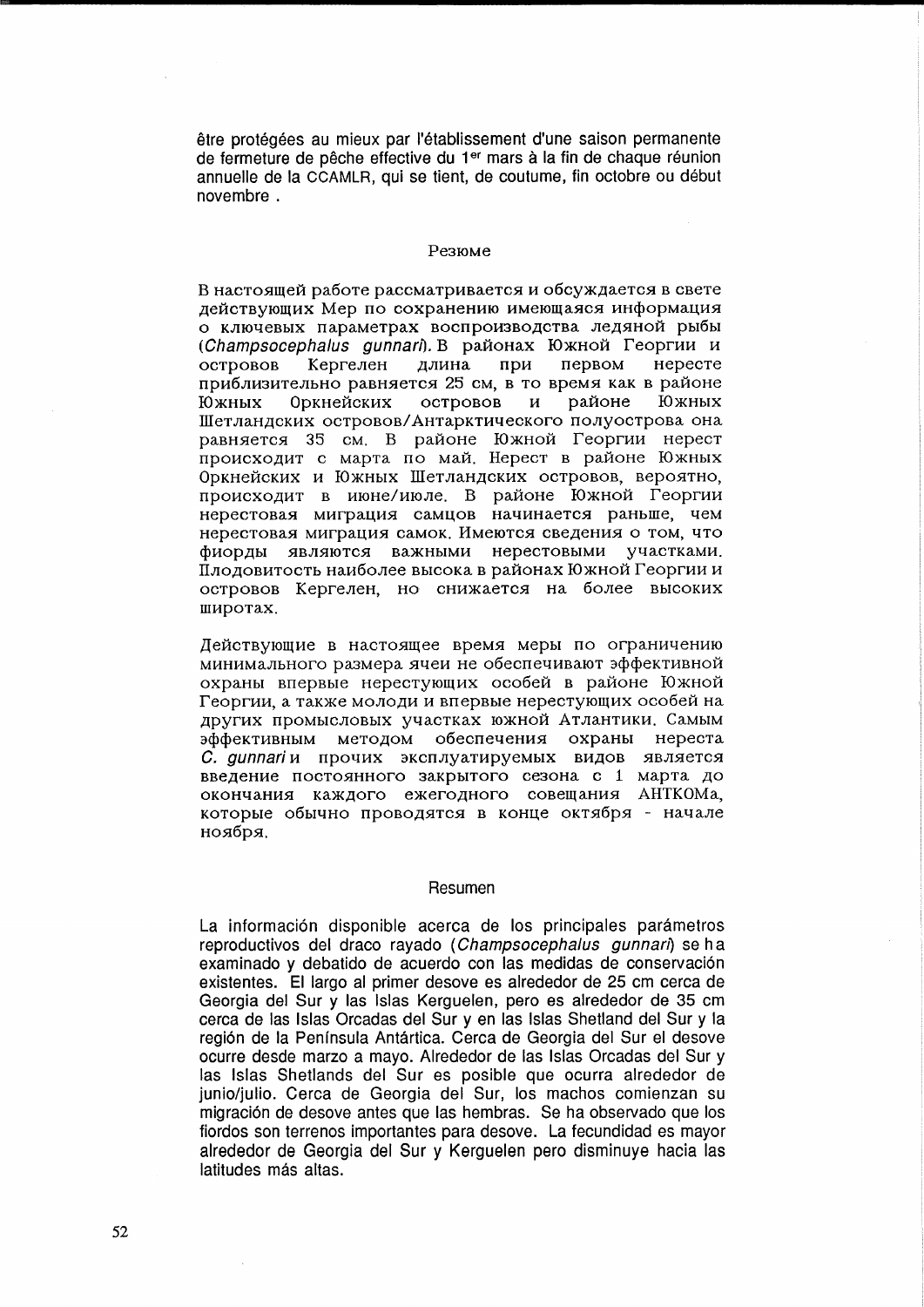être protégées au mieux par l'établissement d'une saison permanente de fermeture de pêche effective du 1<sup>er</sup> mars à la fin de chaque réunion annuelle de la CCAMLR, qui se tient, de coutume, fin octobre ou debut novembre.

# Pe3IOMe

В настоящей работе рассматривается и обсуждается в свете действующих Мер по сохранению имеющаяся информация о ключевых параметрах воспроизводства ледяной рыбы (Champsocephalus gunnari). В районах Южной Георгии и островов Кергелен длина при первом нересте приблизительно равняется 25 см, в то время как в районе<br>Южных Оркнейских островов и районе Южных Южных Оркнейских островов и районе Южных Шетландских островов/Антарктического полуострова она равняется 35 см. В районе Южной Георгии нерест происходит с марта по май. Нерест в районе Южных Оркнейских и Южных Шетландских островов, вероятно, происходит в июне/июле. В районе Южной Георгии нерестовая миграция самцов начинается раньше, чем нерестовая миграция самок. Имеются сведения о том, что фиорды являются важными нерестовыми участками. Плодовитость наиболее высока в районах Южной Георгии и островов Кергелен, но снижается на более высоких IIIHpOTax.

Действующие в настоящее время меры по ограничению минимального размера ячеи не обеспечивают эффективной охраны впервые нерестующих особей в районе Южной Георгии, а также молоди и впервые нерестующих особей на других промысловых участках южной Атлантики. Самым эффективным методом обеспечения охраны нереста C. gunnari и прочих эксплуатируемых видов является введение постоянного закрытого сезона с 1 марта до окончания каждого ежегодного совещания АНТКОМа, которые обычно проводятся в конце октября - начале ноября.

### Resumen

La información disponible acerca de los principales parámetros reproductivos del draco rayado (Champsocephalus gunnari) se ha examinado y debatido de acuerdo con las medidas de conservacion existentes. El largo al primer desove es alrededor de 25 cm cerca de Georgia del Sur y las Islas Kerguelen, pero es alrededor de 35 cm cerca de las Islas Orcadas del Sur y en las Islas Shetland del Sur y la region de la Peninsula Antartica. Cerca de Georgia del Sur el desove ocurre desde marzo a mayo. Alrededor de las Islas Orcadas del Sur y las Islas Shetlands del Sur es posible que ocurra alrededor de junio/julio. Cerca de Georgia del Sur, los machos comienzan su migración de desove antes que las hembras. Se ha observado que los fiordos son terrenos importantes para desove. La fecundidad es mayor alrededor de Georgia del Sur y Kerguelen pero disminuye hacia las latitudes más altas.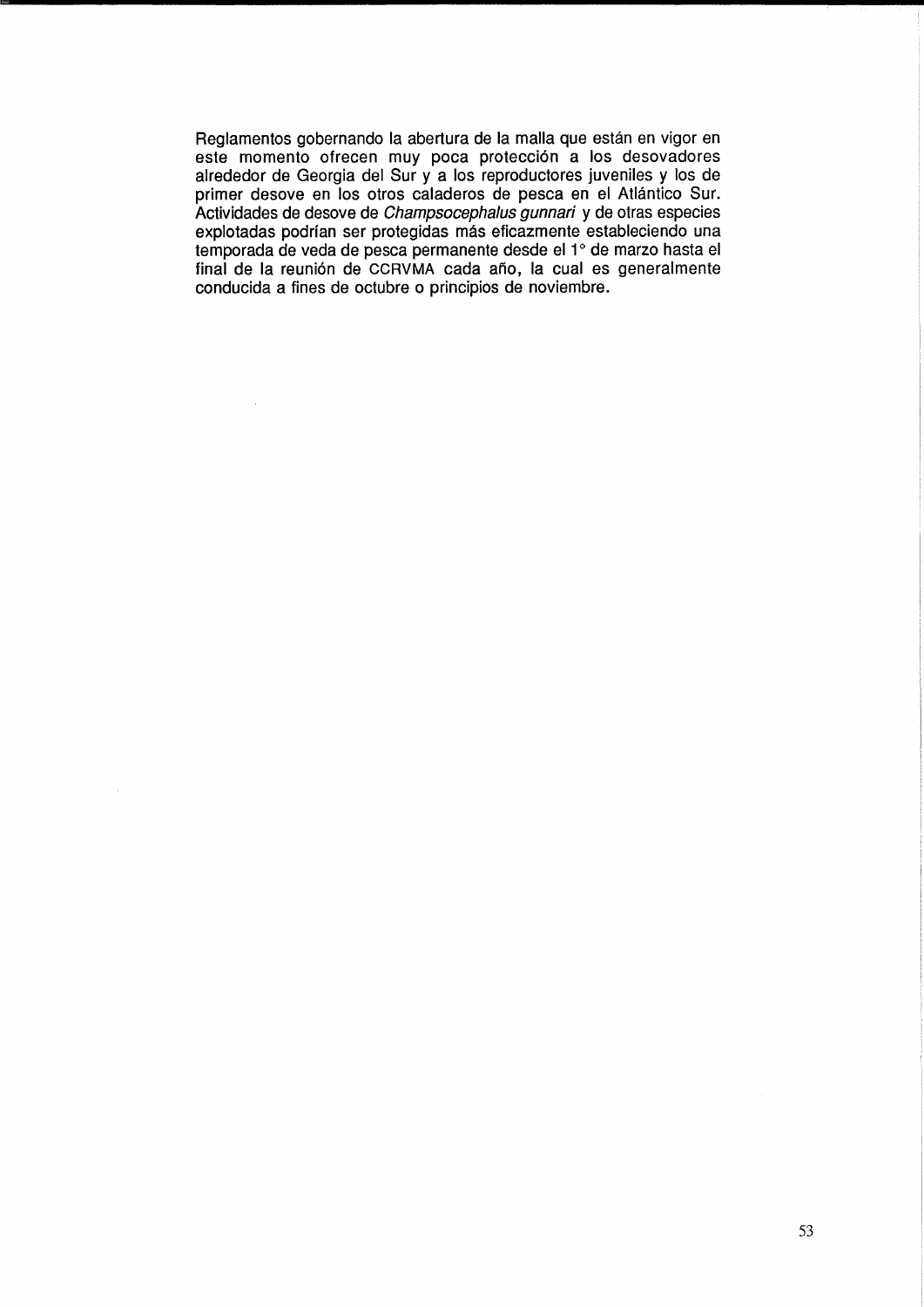Reglamentos gobernando la abertura de la malla que están en vigor en este momento ofrecen muy poca proteccion a los desovadores alrededor de Georgia del Sur y a los reproductores juveniles y los de primer desove en los otros caladeros de pesca en el Atlántico Sur. Actividades de desove de Champsocephalus gunnari y de otras especies explotadas podrfan ser protegidas mas eficazmente estableciendo una temporada de veda de pesca permanente desde el 1° de marzo hasta el final de la reunión de CCRVMA cada año, la cual es generalmente conducida a fines de octubre 0 principios de noviembre.

 $\bar{\mathcal{A}}$ 

 $\hat{\mathcal{A}}$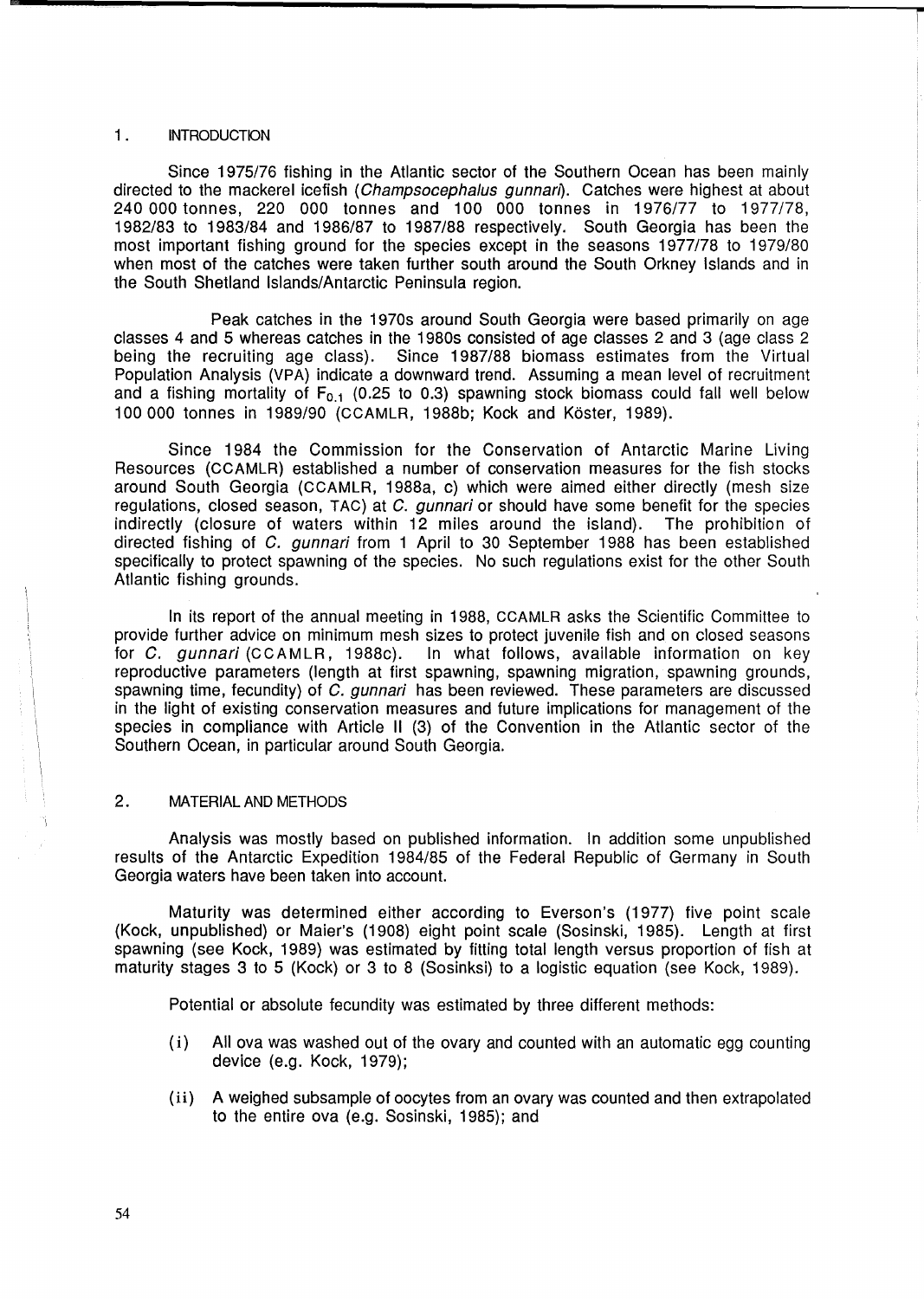## 1. INTRODUCTION

Since 1975/76 fishing in the Atlantic sector of the Southern Ocean has been mainly directed to the mackerel icefish (Champsocephalus gunnari). Catches were highest at about 240 000 tonnes, 220 000 tonnes and 100 000 tonnes in 1976/77 to 1977/78, 1982/83 to 1983/84 and 1986/87 to 1987/88 respectively. South Georgia has been the most important fishing ground for the species except in the seasons 1977/78 to 1979/80 when most of the catches were taken further south around the South Orkney Islands and in the South Shetland Islands/Antarctic Peninsula region.

**r** 

Peak catches in the 1970s around South Georgia were based primarily on age classes 4 and 5 whereas catches in the 1980s consisted of age classes 2 and 3 (age class 2 being the recruiting age class). Since 1987/88 biomass estimates from the Virtual Population Analysis (VPA) indicate a downward trend. Assuming a mean level of recruitment and a fishing mortality of  $F_{0,1}$  (0.25 to 0.3) spawning stock biomass could fall well below 100 000 tonnes in 1989/90 (CCAMLR, 1988b; Kock and K6ster, 1989).

Since 1984 the Commission for the Conservation of Antarctic Marine Living Resources (CCAMLR) established a number of conservation measures for the fish stocks around South Georgia (CCAMLR, 1988a, c) which were aimed either directly (mesh size regulations, closed season, TAC) at C. gunnari or should have some benefit for the species indirectly (closure of waters within 12 miles around the island). The prohibition of directed fishing of C. gunnari from 1 April to 30 September 1988 has been established specifically to protect spawning of the species. No such regulations exist for the other South Atlantic fishing grounds.

In its report of the annual meeting in 1988, CCAMLR asks the Scientific Committee to provide further advice on minimum mesh sizes to protect juvenile fish and on closed seasons for C. gunnari (CCAMLR, 1988c). In what follows, available information on key reproductive parameters (length at first spawning, spawning migration, spawning grounds, spawning time, fecundity) of C. gunnari has been reviewed. These parameters are discussed in the light of existing conservation measures and future implications for management of the species in compliance with Article 11 (3) of the Convention in the Atlantic sector of the Southern Ocean, in particular around South Georgia.

### 2. MATERIAL AND METHODS

Analysis was mostly based on published information. In addition some unpublished results of the Antarctic Expedition 1984/85 of the Federal Republic of Germany in South Georgia waters have been taken into account.

Maturity was determined either according to Everson's (1977) five point scale (Kock, unpublished) or Maier's (1908) eight point scale (Sosinski, 1985). Length at first spawning (see Kock, 1989) was estimated by fitting total length versus proportion of fish at maturity stages 3 to 5 (Kock) or 3 to 8 (Sosinksi) to a logistic equation (see Kock, 1989).

Potential or absolute fecundity was estimated by three different methods:

- (i) All ova was washed out of the ovary and counted with an automatic egg counting device (e.g. Kock, 1979);
- (ii) A weighed subsample of oocytes from an ovary was counted and then extrapolated to the entire ova (e.g. Sosinski, 1985); and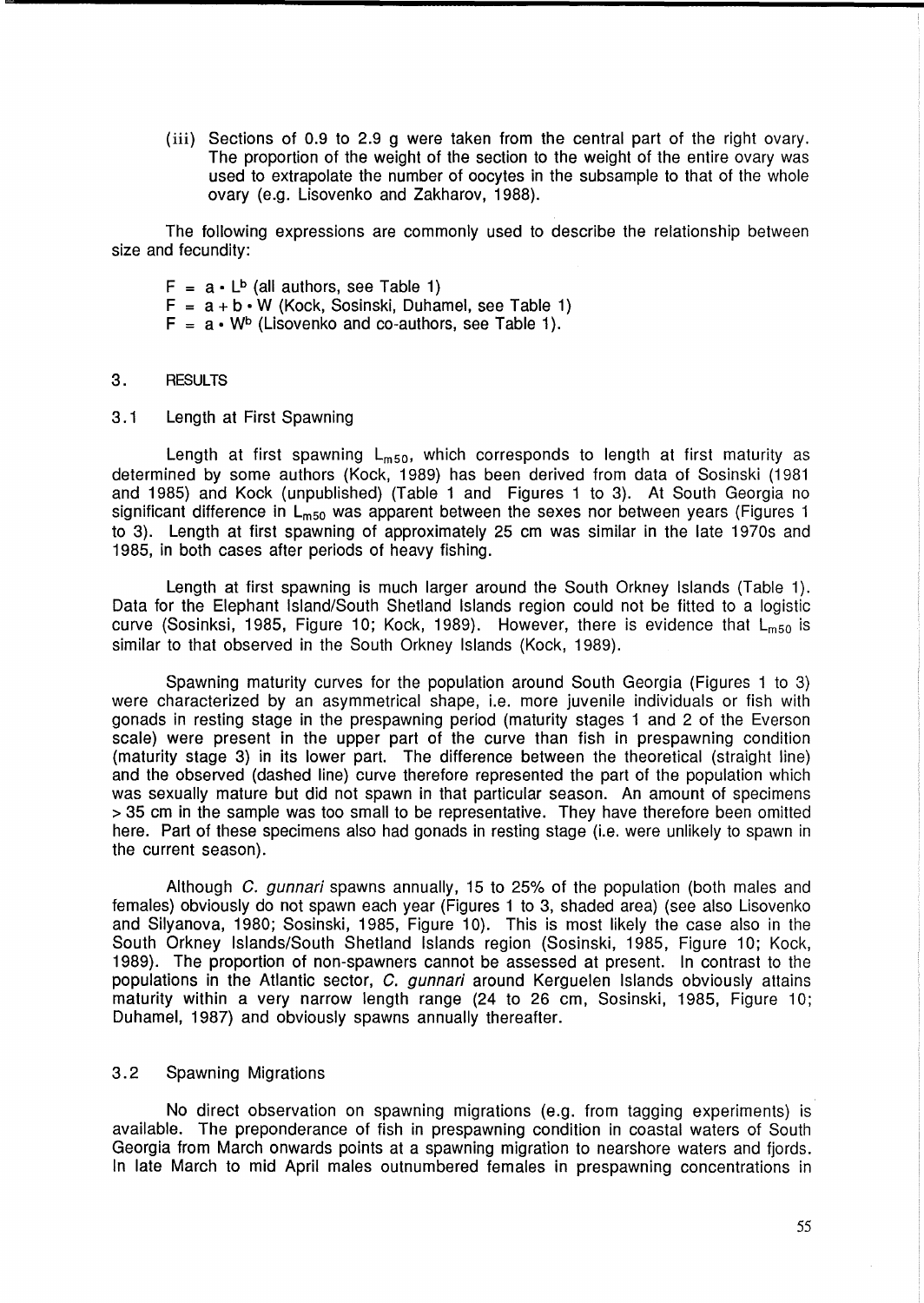(iii) Sections of 0.9 to 2.9 g were taken from the central part of the right ovary. The proportion of the weight of the section to the weight of the entire ovary was used to extrapolate the number of oocytes in the subsample to that of the whole ovary (e.g. Lisovenko and Zakharov, 1988).

The following expressions are commonly used to describe the relationship between size and fecundity:

- $F = a \cdot L^b$  (all authors, see Table 1)
- $F = a + b \cdot W$  (Kock, Sosinski, Duhamel, see Table 1)
- $F = a \cdot W^b$  (Lisovenko and co-authors, see Table 1).

### 3. RESULTS

3.1 Length at First Spawning

Length at first spawning  $L_{m50}$ , which corresponds to length at first maturity as determined by some authors (Kock, 1989) has been derived from data of Sosinski (1981 and 1985) and Kock (unpublished) (Table 1 and Figures 1 to 3). At South Georgia no significant difference in  $L_{m50}$  was apparent between the sexes nor between years (Figures 1 to 3). Length at first spawning of approximately 25 cm was similar in the late 1970s and 1985, in both cases after periods of heavy fishing.

Length at first spawning is much larger around the South Orkney Islands (Table 1). Data for the Elephant Island/South Shetland Islands region could not be fitted to a logistic curve (Sosinksi, 1985, Figure 10; Kock, 1989). However, there is evidence that  $L_{m50}$  is similar to that observed in the South Orkney Islands (Kock, 1989).

Spawning maturity curves for the population around South Georgia (Figures 1 to 3) were characterized by an asymmetrical shape, i.e. more juvenile individuals or fish with gonads in resting stage in the prespawning period (maturity stages 1 and 2 of the Everson scale) were present in the upper part of the curve than fish in prespawning condition (maturity stage 3) in its lower part. The difference between the theoretical (straight line) and the observed (dashed line) curve therefore represented the part of the population which was sexually mature but did not spawn in that particular season. An amount of specimens > 35 cm in the sample was too small to be representative. They have therefore been omitted here. Part of these specimens also had gonads in resting stage (i.e. were unlikely to spawn in the current season).

Although C. gunnari spawns annually, 15 to 25% of the population (both males and females) obviously do not spawn each year (Figures 1 to 3, shaded area) (see also Lisovenko and Silyanova, 1980; Sosinski, 1985, Figure 10). This is most likely the case also in the South Orkney Islands/South Shetland Islands region (Sosinski, 1985, Figure 10; Kock, 1989). The proportion of non-spawners cannot be assessed at present. In contrast to the populations in the Atlantic sector, C. gunnari around Kerguelen Islands obviously attains maturity within a very narrow length range (24 to 26 cm, Sosinski, 1985, Figure 10; Duhamel, 1987) and obviously spawns annually thereafter.

# 3.2 Spawning Migrations

No direct observation on spawning migrations (e.g. from tagging experiments) is available. The preponderance of fish in prespawning condition in coastal waters of South Georgia from March onwards points at a spawning migration to nearshore waters and fjords. In late March to mid April males outnumbered females in prespawning concentrations in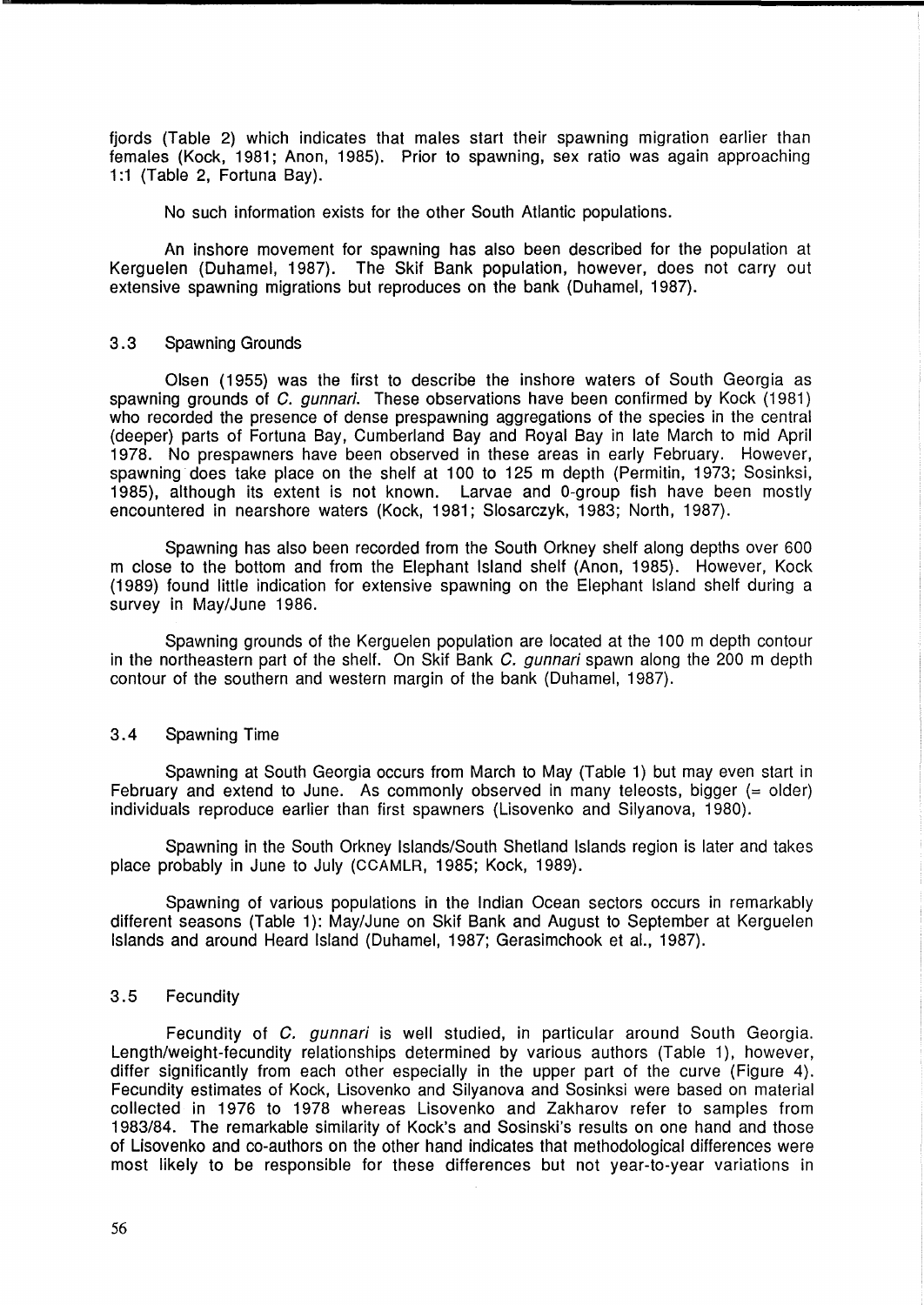fjords (Table 2) which indicates that males start their spawning migration earlier than females (Kock, 1981; Anon, 1985). Prior to spawning, sex ratio was again approaching 1:1 (Table 2, Fortuna Bay).

No such information exists for the other South Atlantic populations.

An inshore movement for spawning has also been described for the population at Kerguelen (Duhamel, 1987). The Skif Bank population, however, does not carry out extensive spawning migrations but reproduces on the bank (Duhamel, 1987).

# 3.3 Spawning Grounds

Olsen (1955) was the first to describe the inshore waters of South Georgia as spawning grounds of C. gunnari. These observations have been confirmed by Kock (1981) who recorded the presence of dense prespawning aggregations of the species in the central (deeper) parts of Fortuna Bay, Cumberland Bay and Royal Bay in late March to mid April 1978. No prespawners have been observed in these areas in early February. However, spawning does take place on the shelf at 100 to 125 m depth (Permitin, 1973; Sosinksi, 1985), although its extent is not known. Larvae and 0-group fish have been mostly encountered in nearshore waters (Kock, 1981; Slosarczyk, 1983; North, 1987).

Spawning has also been recorded from the South Orkney shelf along depths over 600 m close to the bottom and from the Elephant Island shelf (Anon, 1985). However, Kock (1989) found little indication for extensive spawning on the Elephant Island shelf during a survey in May/June 1986.

Spawning grounds of the Kerguelen population are located at the 100 m depth contour in the northeastern part of the shelf. On Skif Bank C. gunnari spawn along the 200 m depth contour of the southern and western margin of the bank (Duhamel, 1987).

# 3.4 Spawning Time

Spawning at South Georgia occurs from March to May (Table 1) but may even start in February and extend to June. As commonly observed in many teleosts, bigger  $(=$  older) individuals reproduce earlier than first spawners (Lisovenko and Silyanova, 1980).

Spawning in the South Orkney Islands/South Shetland Islands region is later and takes place probably in June to July (CCAMLR, 1985; Kock, 1989).

Spawning of various populations in the Indian Ocean sectors occurs in remarkably different seasons (Table 1): May/June on Skif Bank and August to September at Kerguelen Islands and around Heard Island (Duhamel, 1987; Gerasimchook et al., 1987).

# 3.5 Fecundity

Fecundity of C. gunnari is well studied, in particular around South Georgia. Length/weight-fecundity relationships determined by various authors (Table 1), however, differ significantly from each other especially in the upper part of the curve (Figure 4). Fecundity estimates of Kock, Lisovenko and Silyanova and Sosinksi were based on material collected in 1976 to 1978 whereas Lisovenko and Zakharov refer to samples from 1983/84. The remarkable similarity of Kock's and Sosinski's results on one hand and those of Lisovenko and co-authors on the other hand indicates that methodological differences were most likely to be responsible for these differences but not year-to-year variations in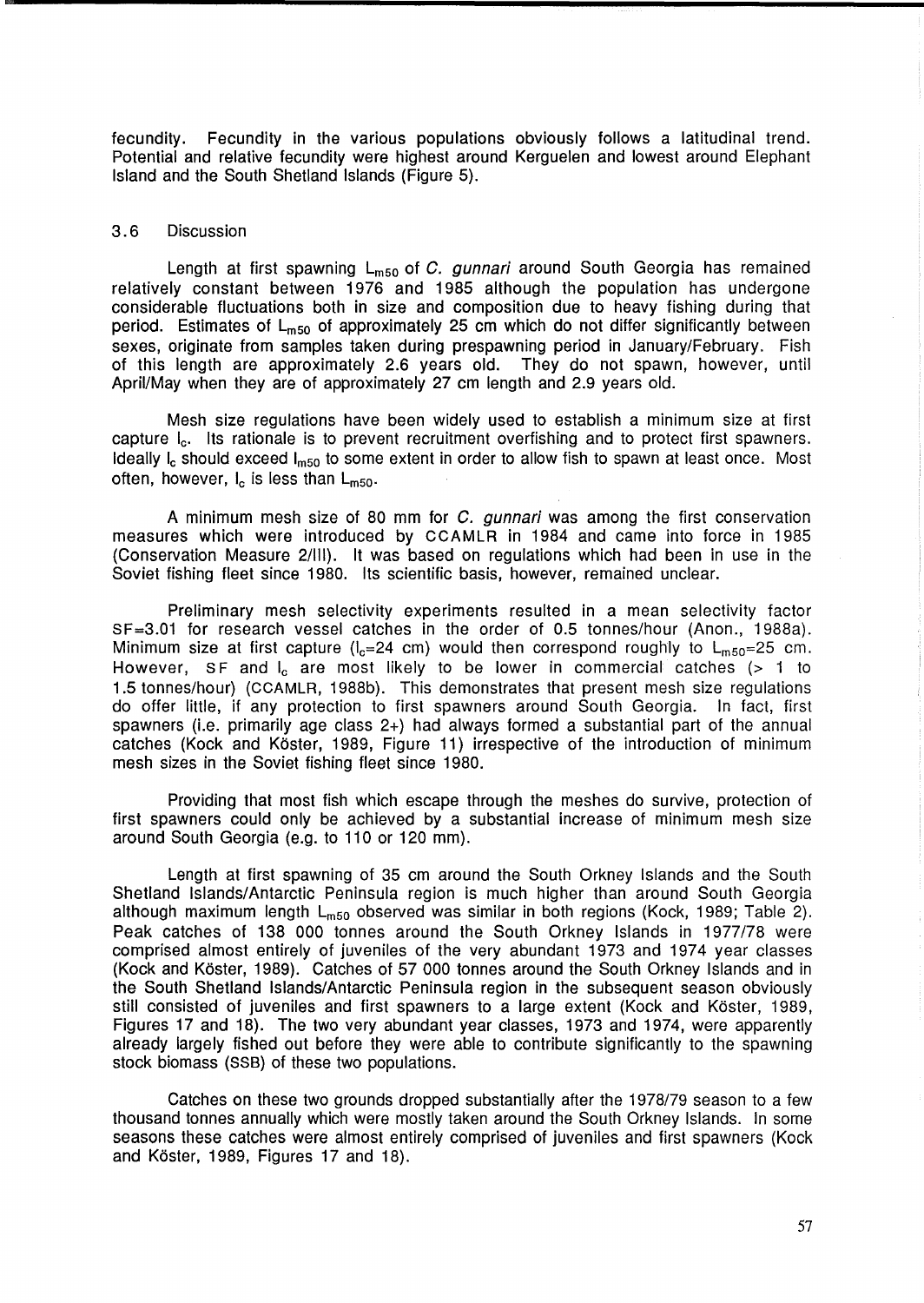fecundity. Fecundity in the various populations obviously follows a latitudinal trend. Potential and relative fecundity were highest around Kerguelen and lowest around Elephant Island and the South Shetland Islands (Figure 5).

# 3.6 Discussion

Length at first spawning  $L_{m50}$  of C. gunnari around South Georgia has remained relatively constant between 1976 and 1985 although the population has undergone considerable fluctuations both in size and composition due to heavy fishing during that period. Estimates of  $L_{m50}$  of approximately 25 cm which do not differ significantly between sexes, originate from samples taken during prespawning period in January/February. Fish of this length are approximately 2.6 years old. They do not spawn, however, until April/May when they are of approximately 27 cm length and 2.9 years old.

Mesh size regulations have been widely used to establish a minimum size at first capture le. Its rationale is to prevent recruitment overfishing and to protect first spawners. Ideally  $I_c$  should exceed  $I_{m50}$  to some extent in order to allow fish to spawn at least once. Most often, however,  $I_c$  is less than  $L_{m50}$ .

A minimum mesh size of 80 mm for C. gunnari was among the first conservation measures which were introduced by CCAMLR in 1984 and came into force in 1985 (Conservation Measure 2/111). It was based on regulations which had been in use in the Soviet fishing fleet since 1980. Its scientific basis, however, remained unclear.

Preliminary mesh selectivity experiments resulted in a mean selectivity factor SF=3.01 for research vessel catches in the order of 0.5 tonnes/hour (Anon., 1988a). Minimum size at first capture ( $l_e=24$  cm) would then correspond roughly to  $L_{m50}=25$  cm. However, SF and  $I_c$  are most likely to be lower in commercial catches  $(> 1)$  to 1.5 tonnes/hour) (CCAMLR, 1988b). This demonstrates that present mesh size regulations do offer little, if any protection to first spawners around South Georgia. In fact, first spawners (i.e. primarily age class  $2+$ ) had always formed a substantial part of the annual catches (Kock and Köster, 1989, Figure 11) irrespective of the introduction of minimum mesh sizes in the Soviet fishing fleet since 1980.

Providing that most fish which escape through the meshes do survive, protection of first spawners could only be achieved by a substantial increase of minimum mesh size around South Georgia (e.g. to 110 or 120 mm).

Length at first spawning of 35 cm around the South Orkney Islands and the South Shetland Islands/Antarctic Peninsula region is much higher than around South Georgia although maximum length  $L_{m50}$  observed was similar in both regions (Kock, 1989; Table 2). Peak catches of 138 000 tonnes around the South Orkney Islands in 1977/78 were comprised almost entirely of juveniles of the very abundant 1973 and 1974 year classes (Kock and Koster, 1989). Catches of 57 000 tonnes around the South Orkney Islands and in the South Shetland Islands/Antarctic Peninsula region in the subsequent season obviously still consisted of juveniles and first spawners to a large extent (Kock and Koster, 1989, Figures 17 and 18). The two very abundant year classes, 1973 and 1974, were apparently already largely fished out before they were able to contribute significantly to the spawning stock biomass (SS8) of these two populations.

Catches on these two grounds dropped substantially after the 1978/79 season to a few thousand tonnes annually which were mostly taken around the South Orkney Islands. In some seasons these catches were almost entirely comprised of juveniles and first spawners (Kock and Köster, 1989, Figures 17 and 18).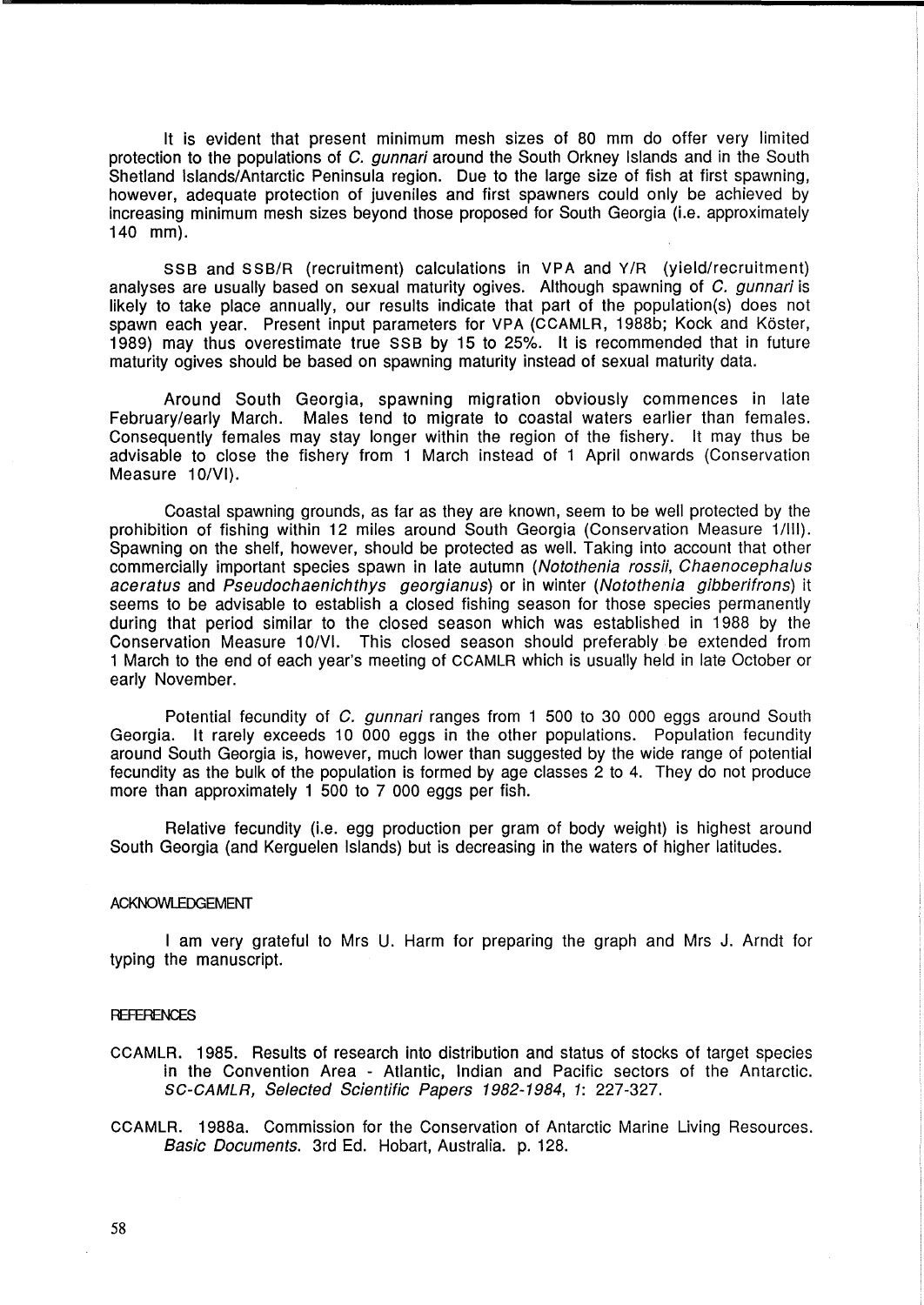It is evident that present minimum mesh sizes of 80 mm do offer very limited protection to the populations of C. gunnari around the South Orkney Islands and in the South Shetland Islands/Antarctic Peninsula region. Due to the large size of fish at first spawning, however, adequate protection of juveniles and first spawners could only be achieved by increasing minimum mesh sizes beyond those proposed for South Georgia (Le. approximately 140 mm).

SSB and SSB/R (recruitment) calculations in VPA and V/R (yield/recruitment) analyses are usually based on sexual maturity ogives. Although spawning of C. qunnari is likely to take place annually, our results indicate that part of the population(s) does not spawn each year. Present input parameters for VPA (CCAMLR, 1988b; Kock and Köster, 1989) may thus overestimate true SSB by 15 to 25%. It is recommended that in future maturity ogives should be based on spawning maturity instead of sexual maturity data.

Around South Georgia, spawning migration obviously commences in late February/early March. Males tend to migrate to coastal waters earlier than females. Consequently females may stay longer within the region of the fishery. It may thus be advisable to close the fishery from 1 March instead of 1 April onwards (Conservation Measure 10/VI).

Coastal spawning grounds, as far as they are known, seem to be well protected by the prohibition of fishing within 12 miles around South Georgia (Conservation Measure 1/III). Spawning on the shelf, however, should be protected as well. Taking into account that other commercially important species spawn in late autumn (Notothenia rossii, Chaenocephalus aceratus and Pseudochaenichthys georgianus) or in winter (Notothenia gibberifrons) it seems to be advisable to establish a closed fishing season for those species permanently during that period similar to the closed season which was established in 1988 by the Conservation Measure 10/VI. This closed season should preferably be extended from 1 March to the end of each year's meeting of CCAMLR which is usually held in late October or early November.

Potential fecundity of C. gunnari ranges from 1 500 to 30 000 eggs around South Georgia. It rarely exceeds 10 000 eggs in the other populations. Population fecundity around South Georgia is, however, much lower than suggested by the wide range of potential fecundity as the bulk of the population is formed by age classes 2 to 4. They do not produce more than approximately 1 500 to 7 000 eggs per fish.

Relative fecundity (Le. egg production per gram of body weight) is highest around South Georgia (and Kerguelen Islands) but is decreasing in the waters of higher latitudes.

#### ACKNOWLEDGEMENT

I am very grateful to Mrs U. Harm for preparing the graph and Mrs J. Arndt for typing the manuscript.

### **REFERENCES**

- CCAMLR. 1985. Results of research into distribution and status of stocks of target species in the Convention Area - Atlantic, Indian and Pacific sectors of the Antarctic. SC-CAMLR, Selected Scientific Papers 1982-1984, 1: 227-327.
- CCAMLR. 1988a. Commission for the Conservation of Antarctic Marine Living Resources. Basic Documents. 3rd Ed. Hobart, Australia. p. 128.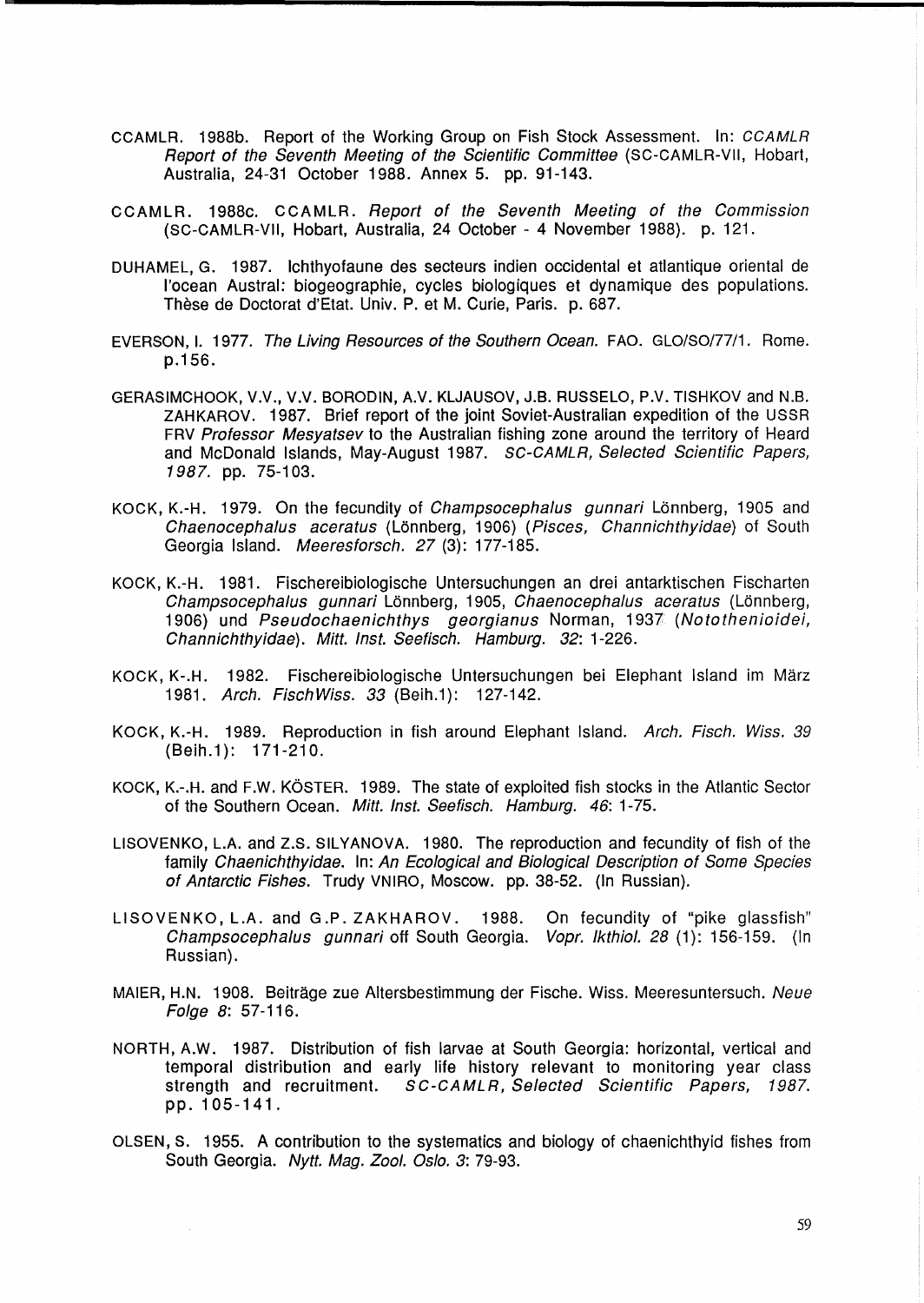- CCAMLR. 1988b. Report of the Working Group on Fish Stock Assessment. In: CCAMLR Report of the Seventh Meeting of the Scientific Committee (SC-CAMLR-VII, Hobart, Australia, 24-31 October 1988. Annex 5. pp. 91-143.
- CC A MLR. 1988c. CC A MLR. Report of the Seventh Meeting of the Commission (SC-CAMLR-VII, Hobart, Australia, 24 October - 4 November 1988). p. 121.
- DUHAMEL, G. 1987. Ichthyofaune des secteurs indien occidental et atlantique oriental de I'ocean Austral: biogeographie, cycles biologiques et dynamique des populations. These de Doctorat d'Etat. Univ. P. et M. Curie, Paris. p. 687.
- EVERSON, I. 1977. The Living Resources of the Southern Ocean. FAO. GLO/SO/77/1. Rome. p.156.
- GERASIMCHOOK, V.V., V.V. BORODIN, A.V. KLJAUSOV, J.B. RUSSELO, P.V. TISHKOV and N.B. ZAHKAROV. 1987. Brief report of the joint Soviet-Australian expedition of the USSR FRV Professor Mesvatsev to the Australian fishing zone around the territory of Heard and McDonald Islands, May-August 1987. SC-CAMLR, Selected Scientific Papers, 1987. pp. 75-103.
- KOCK, K.-H. 1979. On the fecundity of *Champsocephalus gunnari* Lönnberg, 1905 and Chaenocephalus aceratus (Lonnberg, 1906) (Pisces, Channichthyidae) of South Georgia Island. Meeresforsch. 27 (3): 177-185.
- KOCK, K.-H. 1981. Fischereibiologische Untersuchungen an drei antarktischen Fischarten Champsocephalus gunnari Lönnberg, 1905, Chaenocephalus aceratus (Lönnberg, 1906) und Pseudochaenichthys georgianus Norman, 1937 (Notothenioidei, Channichthyidae). Mitt. Inst. Seefisch. Hamburg. 32: 1-226.
- KOCK, K-.H. 1982. Fischereibiologische Untersuchungen bei Elephant Island im Marz 1981. Arch. FischWiss. 33 (Beih.1): 127-142.
- KOCK, K.-H. 1989. Reproduction in fish around Elephant Island. Arch. Fisch. Wiss. 39 (Beih.1): 171-210.
- KOCK, K.-.H. and F.W. KÖSTER. 1989. The state of exploited fish stocks in the Atlantic Sector of the Southern Ocean. Mitt. Inst. Seefisch. Hamburg. 46: 1-75.
- L1S0VENKO, L.A. and Z.S. SILYANOVA. 1980. The reproduction and fecundity of fish of the family Chaenichthyidae. In: An Ecological and Biological Description of Some Species of Antarctic Fishes. Trudy VNIRO, Moscow. pp. 38-52. (In Russian).
- L1S0VENKO, L.A. and G.P. ZAKHAROV. 1988. On fecundity of "pike glassfish" Champsocephalus gunnari off South Georgia. Vopr. Ikthiol. 28 (1): 156-159. (In Russian).
- MAIER, H.N. 1908. Beiträge zue Altersbestimmung der Fische. Wiss. Meeresuntersuch. Neue Folge 8: 57-116.
- NORTH, A.W. 1987. Distribution of fish larvae at South Georgia: horizontal, vertical and temporal distribution and early life history relevant to monitoring year class strength and recruitment. SC-CAMLR, Selected Scientific Papers, 1987. pp. 105-141.
- OLSEN, S. 1955. A contribution to the systematics and biology of chaenichthyid fishes from South Georgia. Nytt. Mag. Zool. Oslo. 3: 79-93.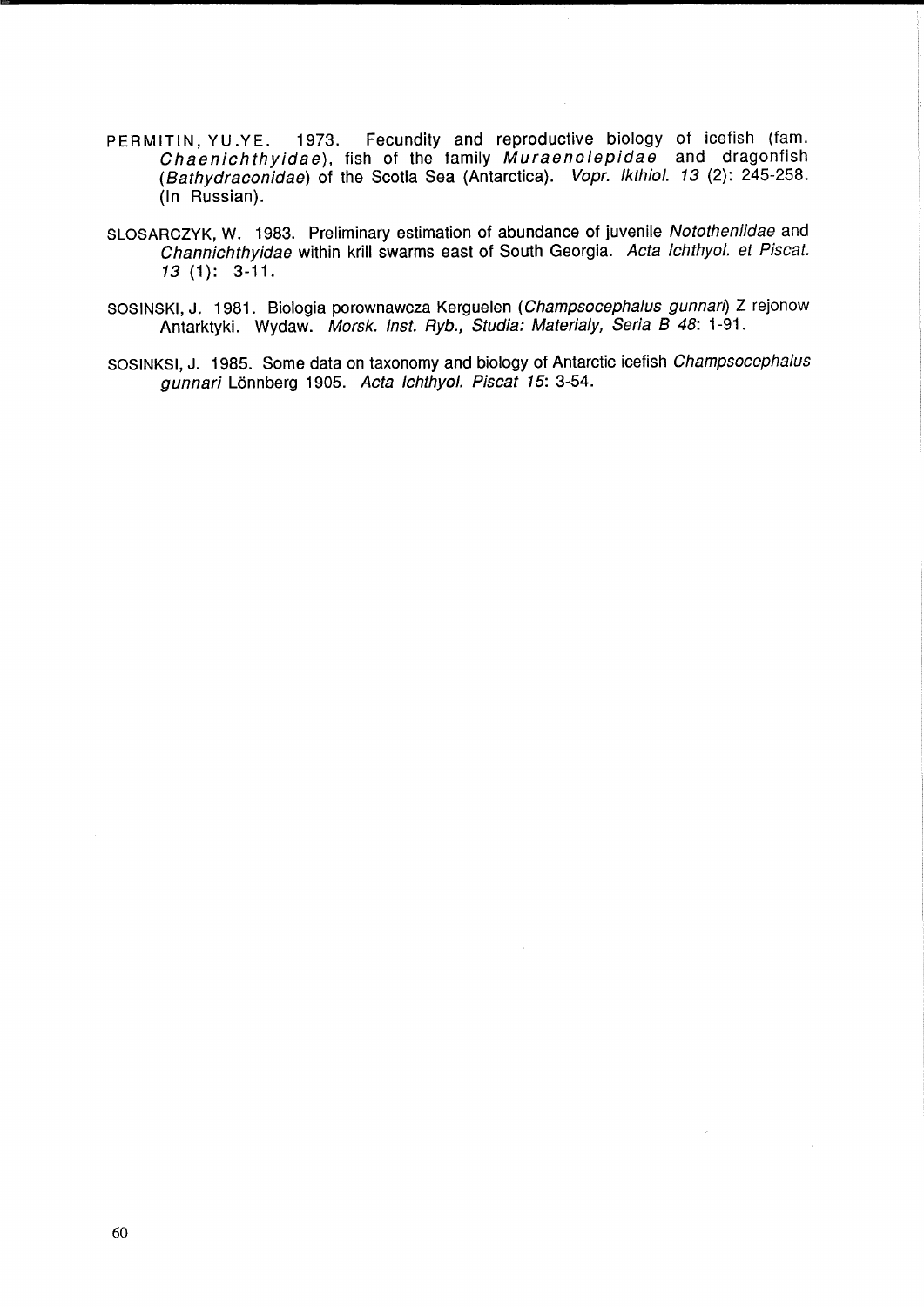- PERMITIN, YU.YE. 1973. Fecundity and reproductive biology of icefish (fam. Chaenichthyidae), fish of the family Muraenolepidae and dragonfish (Bathydraconidae) of the Scotia Sea (Antarctica). Vopr. IkthioI. 13 (2): 245-258. (In Russian).
- SLOSARCZYK, W. 1983. Preliminary estimation of abundance of juvenile Nototheniidae and Channichthyidae within krill swarms east of South Georgia. Acta Ichthyol. et Piscat. 13 (1): 3-11.
- SOSINSKI, J. 1981. Biologia porownawcza Kerguelen (Champsocephalus gunnan) Z rejonow Antarktyki. Wydaw. Morsk. Inst. Ryb., Studia: Materialy, Seria B 48: 1-91.
- SOSINKSI, J. 1985. Some data on taxonomy and biology of Antarctic icefish Champsocephalus gunnari Lonnberg 1905. Acta Ichthyol. Piscat 15: 3-54.

 $\lambda$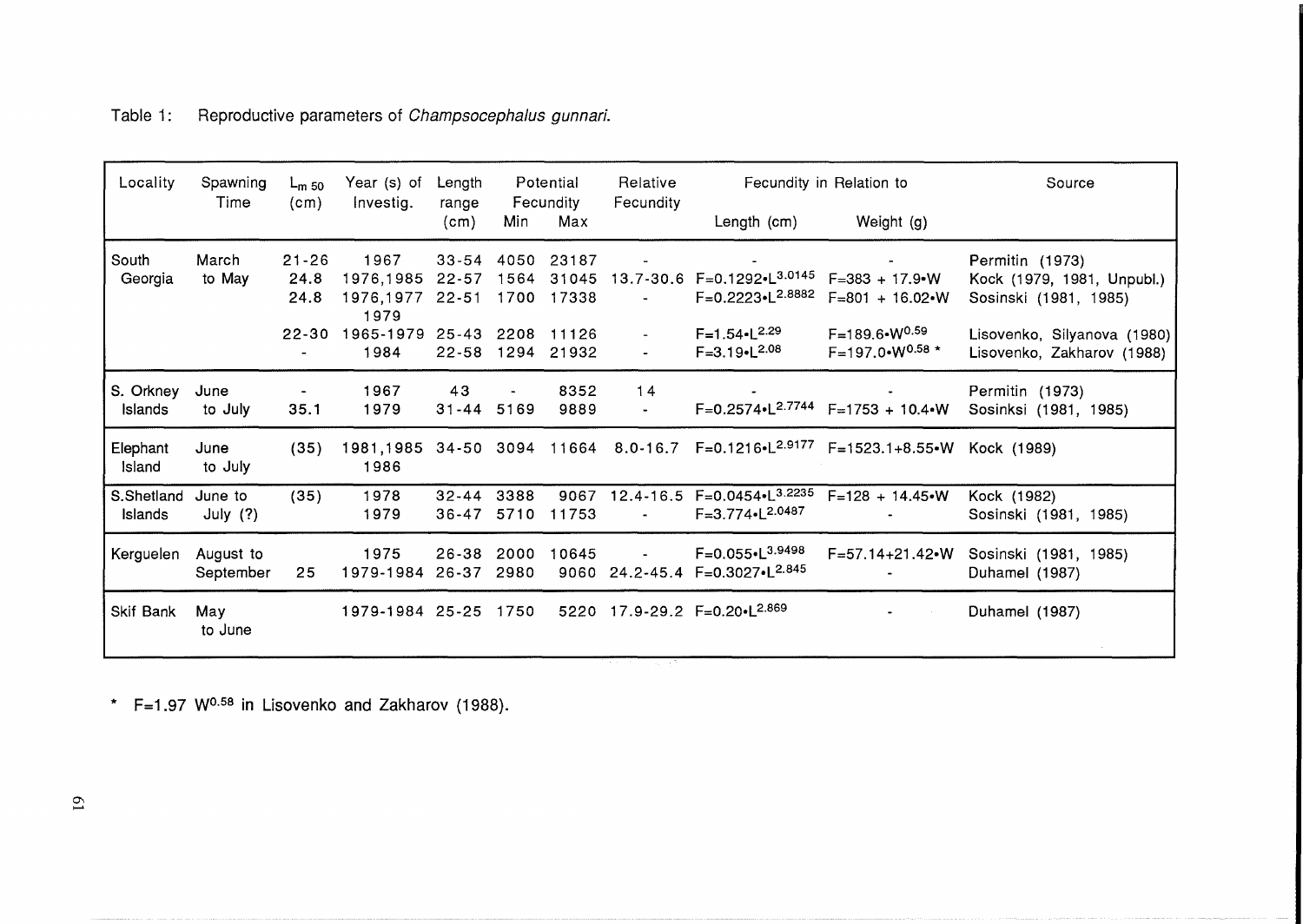| Locality              | Spawning               | $L_{m,50}$     | Year (s) of                                | Length                  | Potential<br>Fecundity |                     | Relative                  | Fecundity in Relation to                                                   |                                                                                              | Source                                                    |
|-----------------------|------------------------|----------------|--------------------------------------------|-------------------------|------------------------|---------------------|---------------------------|----------------------------------------------------------------------------|----------------------------------------------------------------------------------------------|-----------------------------------------------------------|
|                       | Time                   | (cm)           | Investig.                                  | range<br>(cm)           | Min                    | Max                 | Fecundity                 | Length (cm)                                                                | Weight (g)                                                                                   |                                                           |
| South                 | March                  | $21 - 26$      | 1967                                       | $33 - 54$               | 4050                   | 23187               | $\blacksquare$            | $\omega_{\rm{max}}$ and $\omega_{\rm{max}}$                                | $\mathbf{w}$ and $\mathbf{w}$ are $\mathbf{w}$                                               | Permitin (1973)                                           |
| Georgia               | to May                 | 24.8<br>24.8   | 1976,1985 22-57<br>1976,1977 22-51<br>1979 |                         | 1564                   | 31045<br>1700 17338 | $\sim$                    | 13.7-30.6 F=0.1292-L <sup>3.0145</sup><br>$F=0.2223 \cdot L^{2.8882}$      | $F = 383 + 17.9$ W<br>$F=801 + 16.02 \cdot W$                                                | Kock (1979, 1981, Unpubl.)<br>Sosinski (1981, 1985)       |
|                       |                        | $\blacksquare$ | 22-30 1965-1979 25-43 2208 11126<br>1984   |                         |                        | 22-58 1294 21932    | $\blacksquare$            | $F=1.54 \cdot L^{2.29}$<br>$F=3.19 \cdot L^{2.08}$                         | F=189.6•W <sup>0.59</sup><br>$F=197.0 \cdot W^{0.58}$ *                                      | Lisovenko, Silyanova (1980)<br>Lisovenko, Zakharov (1988) |
| S. Orkney<br>Islands  | June<br>to July        | 35.1           | 1967<br>1979                               | 43<br>31-44 5169        |                        | 8352<br>9889        | 14<br>$\omega_{\rm{max}}$ |                                                                            | $F=0.2574 \cdot L^{2.7744}$ $F=1753 + 10.4 \cdot W$                                          | Permitin (1973)<br>Sosinksi (1981, 1985)                  |
| Elephant<br>Island    | June<br>to July        | (35)           | 1986                                       |                         |                        |                     |                           |                                                                            | 1981,1985 34-50 3094 11664 8.0-16.7 F=0.1216•L <sup>2.9177</sup> F=1523.1+8.55•W Kock (1989) |                                                           |
| S.Shetland<br>Islands | June to<br>July $(?)$  | (35)           | 1978<br>1979                               | 32-44 3388<br>$36 - 47$ | 5710                   | 9067<br>11753       | $\sim 100$                | $F = 3.774 \cdot 2.0487$                                                   | 12.4-16.5 $F=0.0454 \cdot L^{3.2235}$ $F=128 + 14.45 \cdot W$                                | Kock (1982)<br>Sosinski (1981, 1985)                      |
| Kerguelen             | August to<br>September | 25             | 1975<br>1979-1984 26-37 2980               | 26-38                   | 2000                   | 10645               |                           | - $F=0.055 \cdot L^{3.9498}$<br>9060 24.2-45.4 F=0.3027-L <sup>2.845</sup> | $F = 57.14 + 21.42$ W                                                                        | Sosinski (1981, 1985)<br>Duhamel (1987)                   |
| Skif Bank             | Mav<br>to June         |                | 1979-1984 25-25 1750                       |                         |                        |                     |                           | 5220 17.9-29.2 F=0.20. L <sup>2.869</sup>                                  |                                                                                              | Duhamel (1987)                                            |
|                       |                        |                |                                            |                         |                        |                     |                           |                                                                            |                                                                                              |                                                           |

 $*$  F=1.97 W<sup>0.58</sup> in Lisovenko and Zakharov (1988).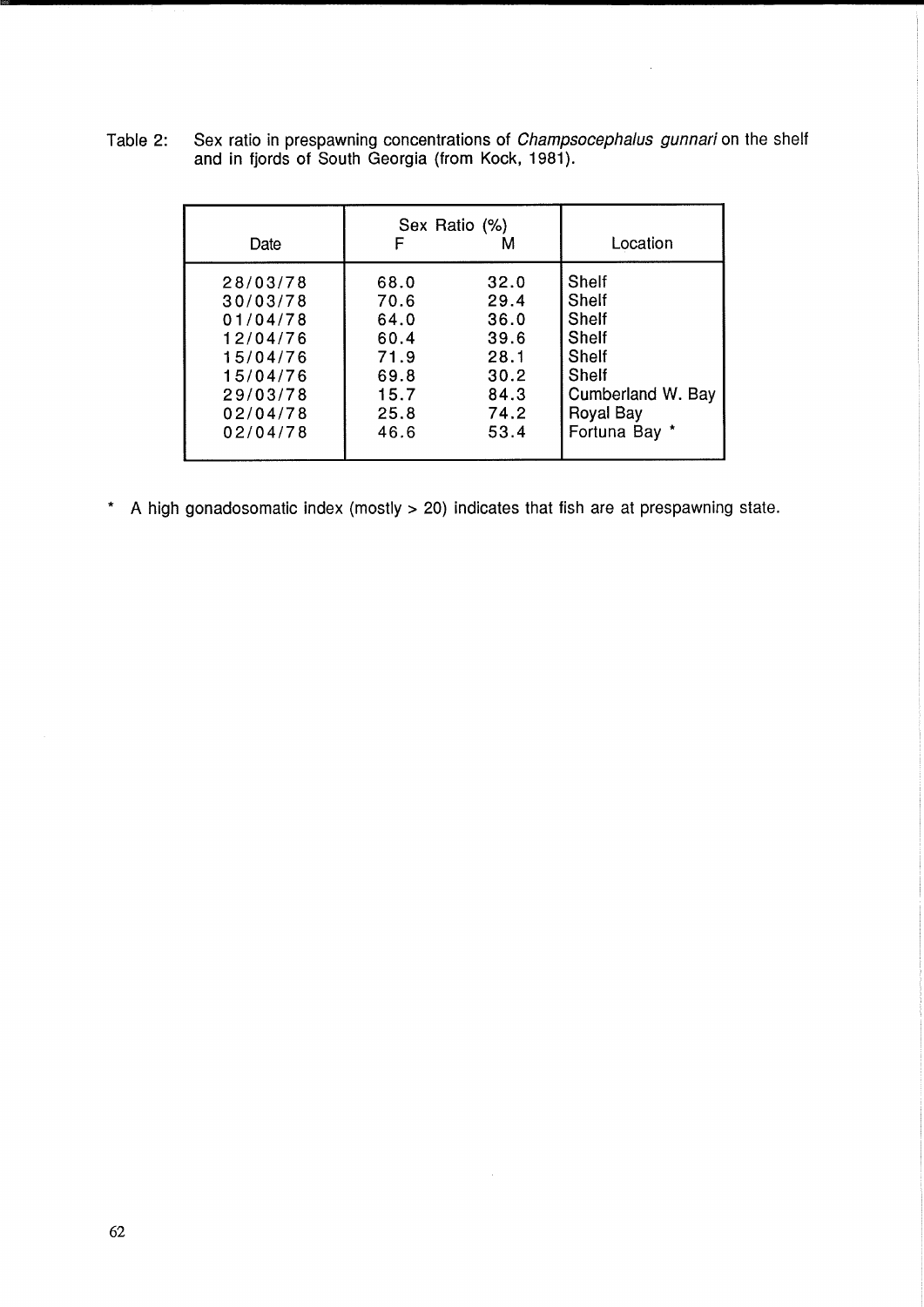| Date     |      | Sex Ratio (%) | Location          |
|----------|------|---------------|-------------------|
| 28/03/78 | 68.0 | 32.0          | <b>Shelf</b>      |
| 30/03/78 | 70.6 | 29.4          | <b>Shelf</b>      |
| 01/04/78 | 64.0 | 36.0          | Shelf             |
| 12/04/76 | 60.4 | 39.6          | Shelf             |
| 15/04/76 | 71.9 | 28.1          | Shelf             |
| 15/04/76 | 69.8 | 30.2          | Shelf             |
| 29/03/78 | 15.7 | 84.3          | Cumberland W. Bay |
| 02/04/78 | 25.8 | 74.2          | <b>Royal Bay</b>  |
| 02/04/78 | 46.6 | 53.4          | Fortuna Bay *     |

Table 2: Sex ratio in prespawning concentrations of *Champsocephalus gunnari* on the shelf and in fjords of South Georgia (from Kock, 1981).

 $\mathcal{L}^{\mathcal{A}}$ 

\* A high gonadosomatic index (mostly > 20) indicates that fish are at prespawning state.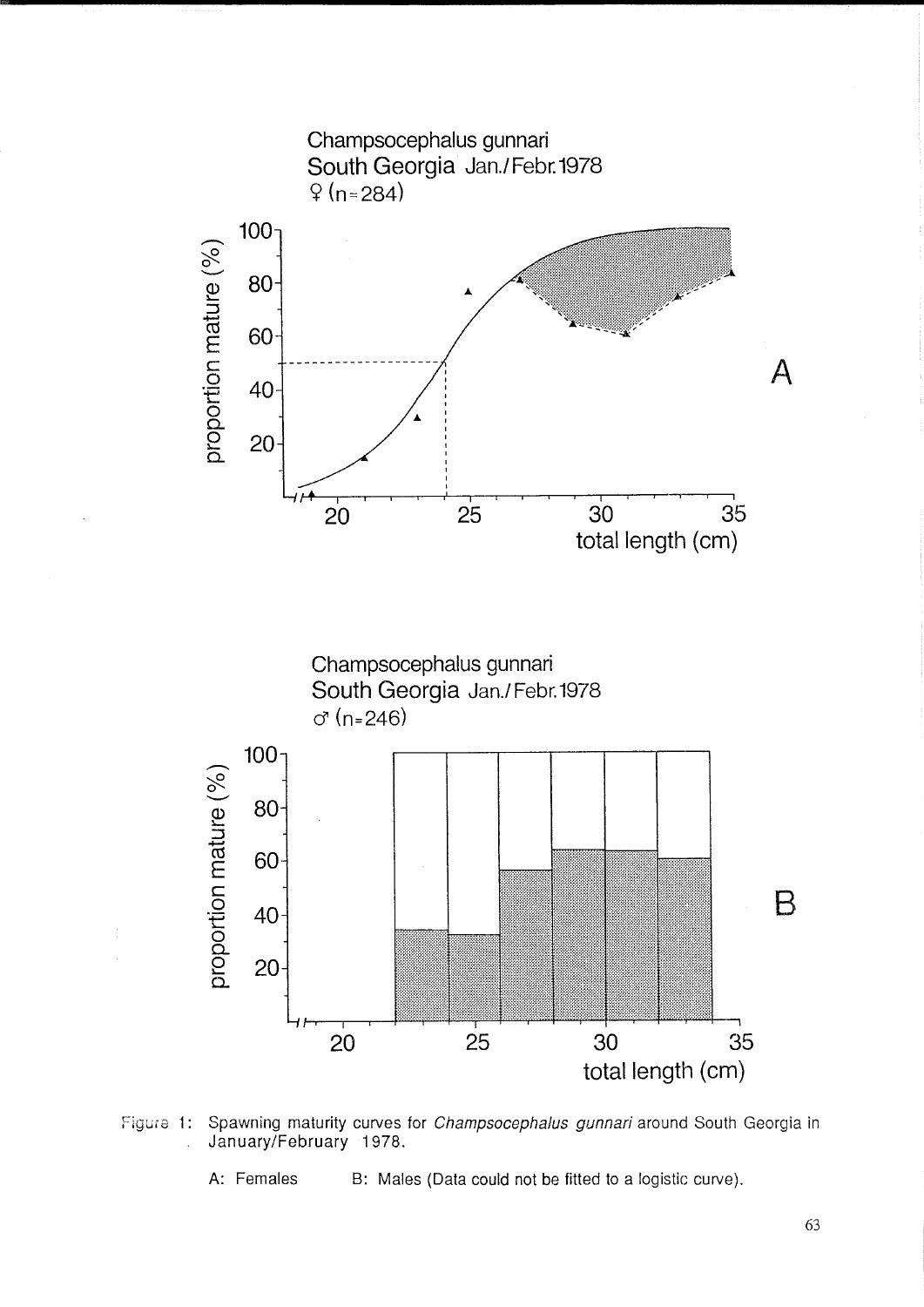



A: Females B: Males (Data could not be fitted to a logistic curve).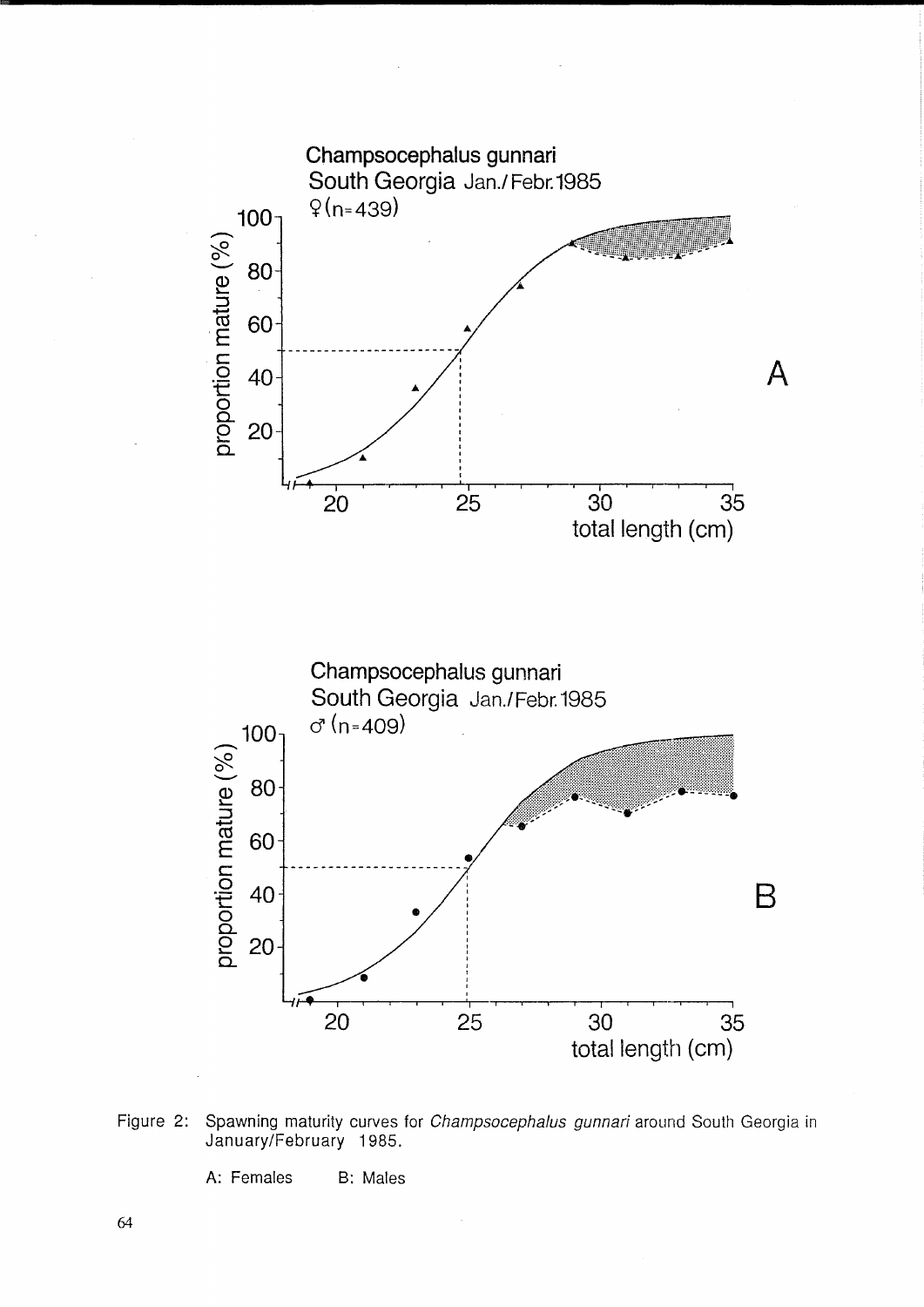

Figure 2: Spawning maturity curves for Champsocephalus gunnari around South Georgia in January/February 1985.

A: Females B: Males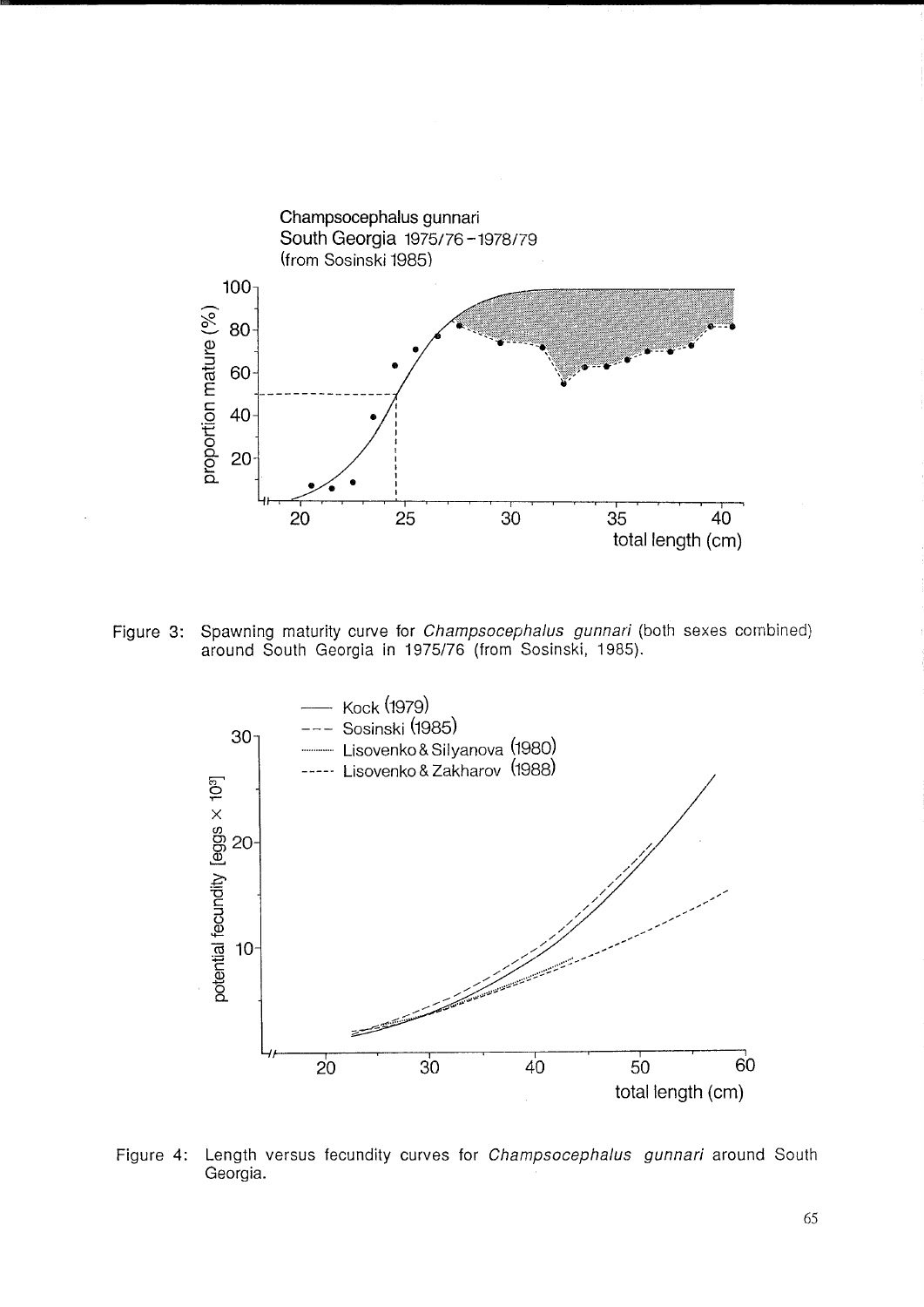

Figure 3: Spawning maturity curve for *Champsocephalus gunnari* (both sexes combined) around South Georgia in 1975/76 (from Sosinski, 1985).



Figure 4: Length versus fecundity curves for Champsocephalus gunnari around South Georgia.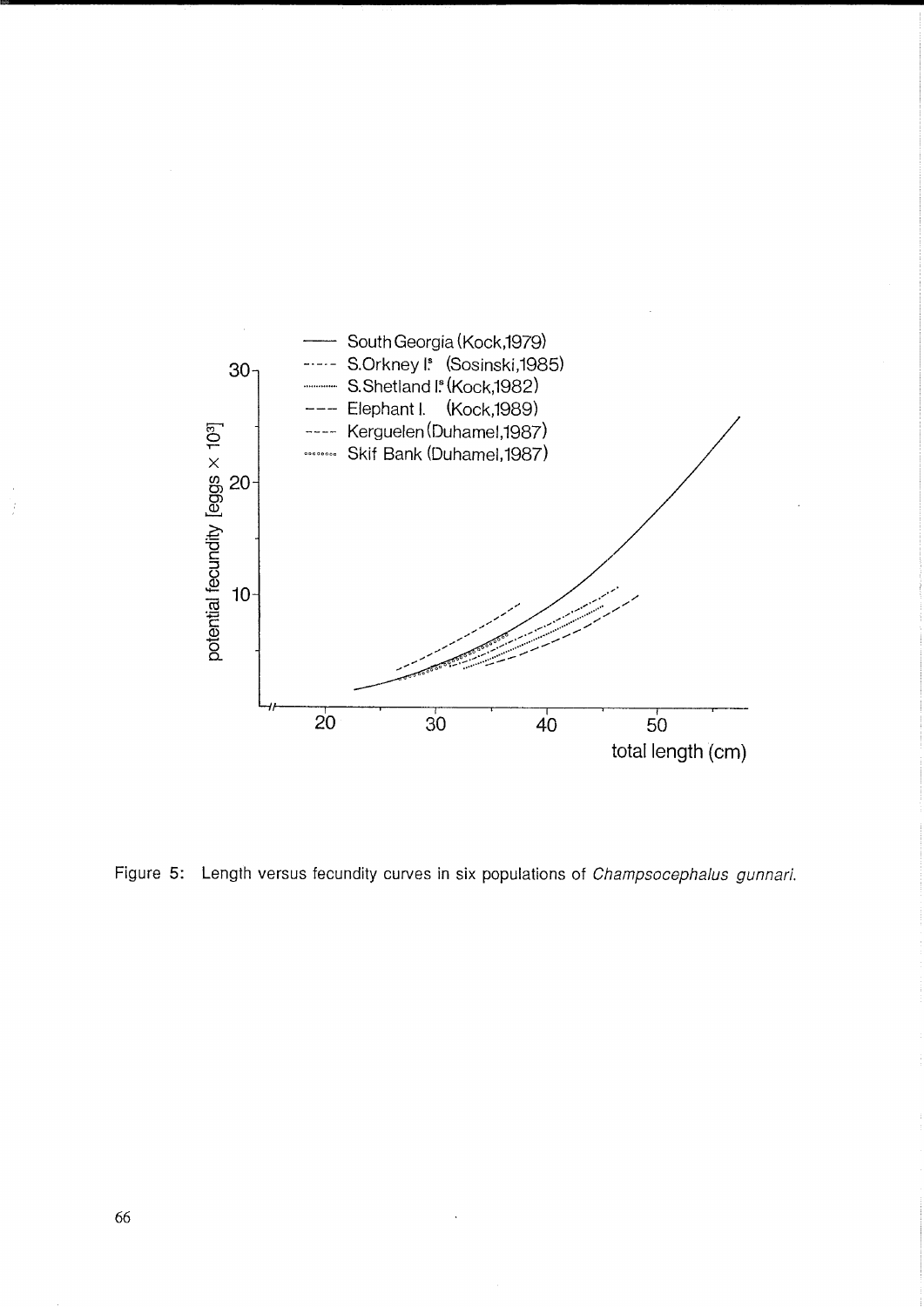

Figure 5: Length versus fecundity curves in six populations of Champsocephalus gunnari.

ķ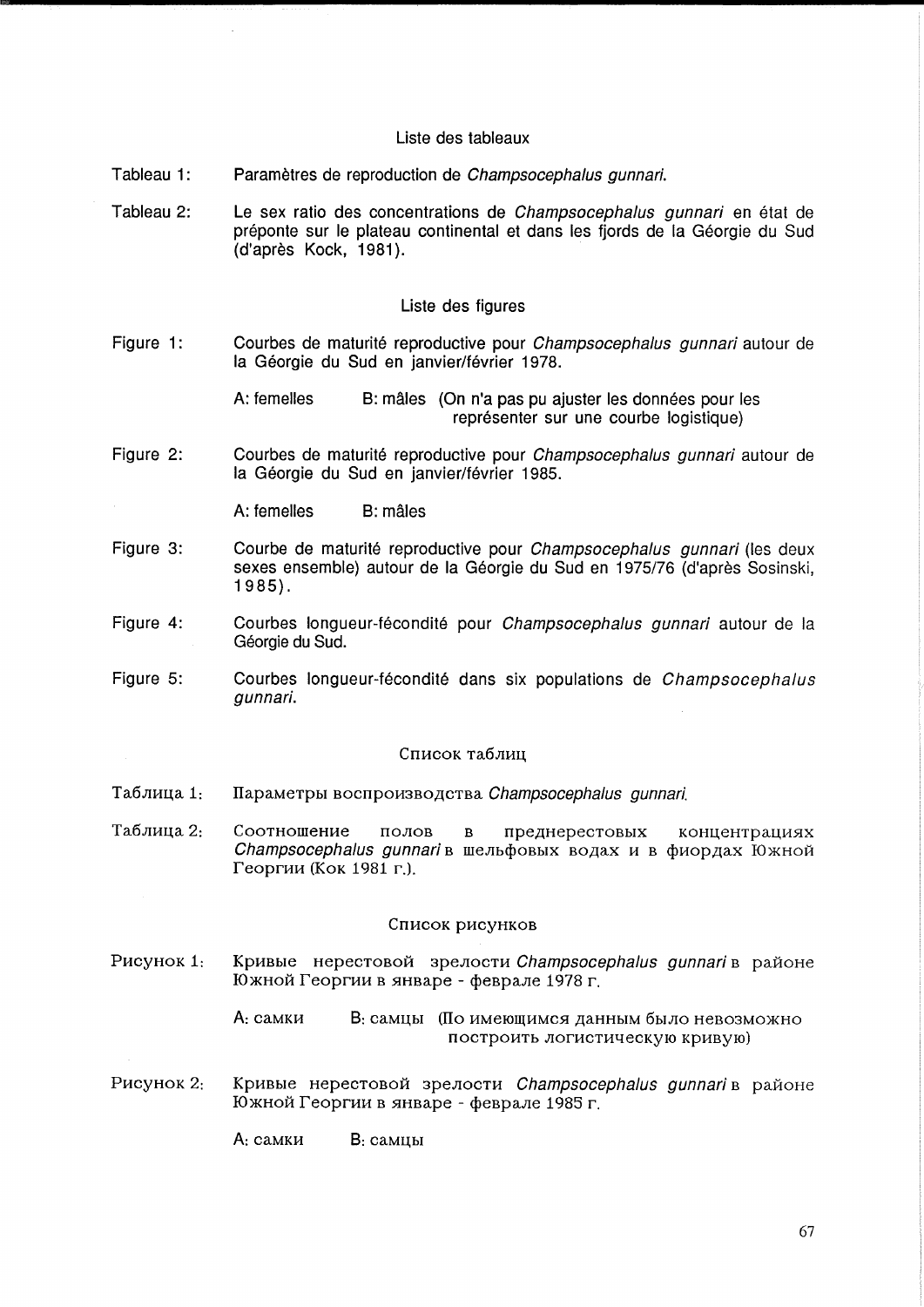# Liste des tableaux

- Tableau 1: Parametres de reproduction de Champsocephalus gunnari.
- Tableau 2: Le sex ratio des concentrations de Champsocephalus gunnari en état de préponte sur le plateau continental et dans les fjords de la Géorgie du Sud (d'apres Kock, 1981).

## Liste des figures

Figure 1: Courbes de maturité reproductive pour *Champsocephalus gunnari* autour de la Géorgie du Sud en janvier/février 1978.

> A: femelles B: mâles (On n'a pas pu ajuster les données pour les représenter sur une courbe logistique)

Figure 2: Courbes de maturité reproductive pour Champsocephalus gunnari autour de la Géorgie du Sud en janvier/février 1985.

A: femelles B: mâles

- Figure 3: Courbe de maturité reproductive pour *Champsocephalus gunnari* (les deux sexes ensemble) autour de la Géorgie du Sud en 1975/76 (d'après Sosinski, 1985).
- Figure 4: Courbes longueur-fécondité pour Champsocephalus gunnari autour de la Géorgie du Sud.
- Figure 5: Courbes longueur-fécondité dans six populations de Champsocephalus gunnari.

### Список таблиц

- Таблица 1: Параметры воспроизводства Champsocephalus gunnari.
- Таблица 2: Соотношение полов в преднерестовых концентрациях Champsocephalus gunnari в шельфовых водах и в фиордах Южной Георгии (Кок 1981 г.).

### Список рисунков

P<sub>HC</sub>y<sub>HOK</sub> 1: Кривые нерестовой зрелости *Champsocephalus gunnari* в районе Южной Георгии в январе - феврале 1978 г.

> A: самки В: самцы (По имеющимся данным было невозможно построить логистическую кривую)

 $P$ исунок 2: Кривые нерестовой зрелости Champsocephalus gunnari в районе  $I$ Ожной Георгии в январе - феврале 1985 г.

 $A:$   $C\text{AMKM}$   $B:$   $C\text{AMLMI}$